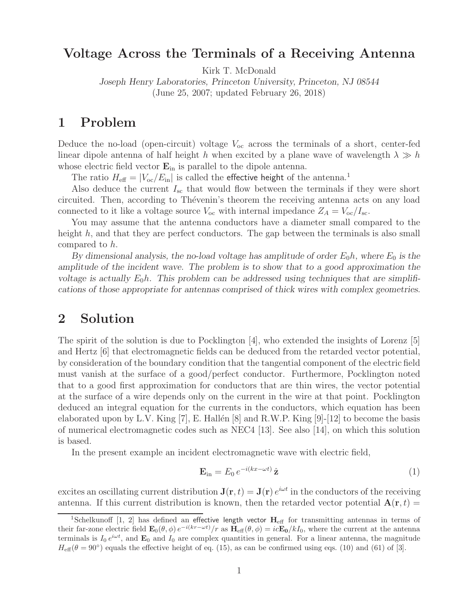## **Voltage Across the Terminals of a Receiving Antenna**

Kirk T. McDonald

*Joseph Henry Laboratories, Princeton University, Princeton, NJ 08544* (June 25, 2007; updated February 26, 2018)

## **1 Problem**

Deduce the no-load (open-circuit) voltage  $V_{oc}$  across the terminals of a short, center-fed linear dipole antenna of half height h when excited by a plane wave of wavelength  $\lambda \gg h$ whose electric field vector  $\mathbf{E}_{\text{in}}$  is parallel to the dipole antenna.

The ratio  $H_{\text{eff}} = |V_{\text{oc}}/E_{\text{in}}|$  is called the effective height of the antenna.<sup>1</sup>

Also deduce the current  $I_{\rm sc}$  that would flow between the terminals if they were short circuited. Then, according to Thévenin's theorem the receiving antenna acts on any load connected to it like a voltage source  $V_{\text{oc}}$  with internal impedance  $Z_A = V_{\text{oc}}/I_{\text{sc}}$ .

You may assume that the antenna conductors have a diameter small compared to the height h, and that they are perfect conductors. The gap between the terminals is also small compared to h.

*By dimensional analysis, the no-load voltage has amplitude of order*  $E_0 h$ *, where*  $E_0$  *is the amplitude of the incident wave. The problem is to show that to a good approximation the voltage is actually*  $E_0 h$ . This problem can be addressed using techniques that are simplifi*cations of those appropriate for antennas comprised of thick wires with complex geometries.*

## **2 Solution**

The spirit of the solution is due to Pocklington [4], who extended the insights of Lorenz [5] and Hertz [6] that electromagnetic fields can be deduced from the retarded vector potential, by consideration of the boundary condition that the tangential component of the electric field must vanish at the surface of a good/perfect conductor. Furthermore, Pocklington noted that to a good first approximation for conductors that are thin wires, the vector potential at the surface of a wire depends only on the current in the wire at that point. Pocklington deduced an integral equation for the currents in the conductors, which equation has been elaborated upon by L.V. King [7], E. Hallén [8] and R.W.P. King  $[9]-[12]$  to become the basis of numerical electromagnetic codes such as NEC4 [13]. See also [14], on which this solution is based.

In the present example an incident electromagnetic wave with electric field,

$$
\mathbf{E}_{\rm in} = E_0 \, e^{-i(kx - \omega t)} \, \hat{\mathbf{z}} \tag{1}
$$

excites an oscillating current distribution  $J(\mathbf{r}, t) = J(\mathbf{r}) e^{i\omega t}$  in the conductors of the receiving antenna. If this current distribution is known, then the retarded vector potential  $\mathbf{A}(\mathbf{r},t)$  =

<sup>&</sup>lt;sup>1</sup>Schelkunoff [1, 2] has defined an effective length vector  $H_{\text{eff}}$  for transmitting antennas in terms of their far-zone electric field  $\mathbf{E}_0(\theta, \phi) e^{-i(kr-\omega t)}/r$  as  $\tilde{\mathbf{H}}_{eff}(\theta, \phi) = ic\mathbf{E_0}/kI_0$ , where the current at the antenna terminals is  $I_0 e^{i\omega t}$ , and  $\mathbf{E}_0$  and  $I_0$  are complex quantities in general. For a linear antenna, the magnitude  $H_{\text{eff}}(\theta = 90^{\circ})$  equals the effective height of eq. (15), as can be confirmed using eqs. (10) and (61) of [3].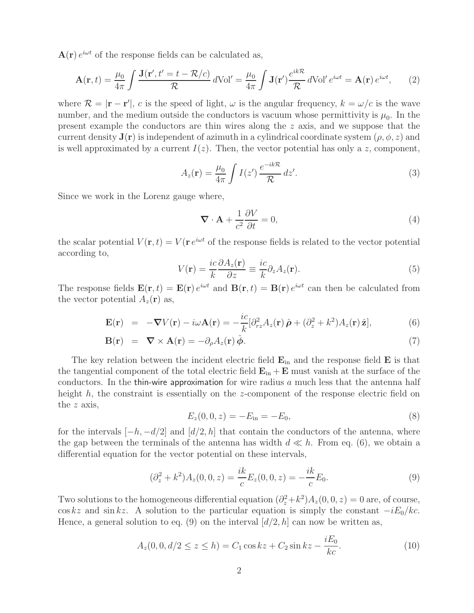$\mathbf{A}(\mathbf{r}) e^{i\omega t}$  of the response fields can be calculated as,

$$
\mathbf{A}(\mathbf{r},t) = \frac{\mu_0}{4\pi} \int \frac{\mathbf{J}(\mathbf{r}',t'=t-\mathcal{R}/c)}{\mathcal{R}} \, d\text{Vol}' = \frac{\mu_0}{4\pi} \int \mathbf{J}(\mathbf{r}') \frac{e^{ik\mathcal{R}}}{\mathcal{R}} \, d\text{Vol}' \, e^{i\omega t} = \mathbf{A}(\mathbf{r}) \, e^{i\omega t},\qquad(2)
$$

where  $\mathcal{R} = |\mathbf{r} - \mathbf{r}'|$ , c is the speed of light,  $\omega$  is the angular frequency,  $k = \omega/c$  is the wave number, and the medium outside the conductors is vacuum whose permittivity is  $\mu_0$ . In the present example the conductors are thin wires along the z axis, and we suppose that the current density  $\mathbf{J}(\mathbf{r})$  is independent of azimuth in a cylindrical coordinate system  $(\rho, \phi, z)$  and is well approximated by a current  $I(z)$ . Then, the vector potential has only a z, component,

$$
A_z(\mathbf{r}) = \frac{\mu_0}{4\pi} \int I(z') \frac{e^{-ik\mathcal{R}}}{\mathcal{R}} dz'.
$$
 (3)

Since we work in the Lorenz gauge where,

$$
\nabla \cdot \mathbf{A} + \frac{1}{c^2} \frac{\partial V}{\partial t} = 0,
$$
\n(4)

the scalar potential  $V(\mathbf{r}, t) = V(\mathbf{r} e^{i\omega t}$  of the response fields is related to the vector potential according to,

$$
V(\mathbf{r}) = \frac{ic}{k} \frac{\partial A_z(\mathbf{r})}{\partial z} \equiv \frac{ic}{k} \partial_z A_z(\mathbf{r}).
$$
\n(5)

The response fields  $\mathbf{E}(\mathbf{r},t) = \mathbf{E}(\mathbf{r}) e^{i\omega t}$  and  $\mathbf{B}(\mathbf{r},t) = \mathbf{B}(\mathbf{r}) e^{i\omega t}$  can then be calculated from the vector potential  $A_z(\mathbf{r})$  as,

$$
\mathbf{E}(\mathbf{r}) = -\nabla V(\mathbf{r}) - i\omega \mathbf{A}(\mathbf{r}) = -\frac{ic}{k} [\partial_{rz}^2 A_z(\mathbf{r}) \hat{\boldsymbol{\rho}} + (\partial_z^2 + k^2) A_z(\mathbf{r}) \hat{\mathbf{z}}], \tag{6}
$$

$$
\mathbf{B}(\mathbf{r}) = \nabla \times \mathbf{A}(\mathbf{r}) = -\partial_{\rho} A_{z}(\mathbf{r}) \hat{\boldsymbol{\phi}}.
$$
 (7)

The key relation between the incident electric field **E**in and the response field **E** is that the tangential component of the total electric field  $\mathbf{E}_{in} + \mathbf{E}$  must vanish at the surface of the conductors. In the thin-wire approximation for wire radius  $a$  much less that the antenna half height h, the constraint is essentially on the z-component of the response electric field on the z axis,

$$
E_z(0,0,z) = -E_{\rm in} = -E_0,
$$
\n(8)

for the intervals  $[-h, -d/2]$  and  $[d/2, h]$  that contain the conductors of the antenna, where the gap between the terminals of the antenna has width  $d \ll h$ . From eq. (6), we obtain a differential equation for the vector potential on these intervals,

$$
(\partial_z^2 + k^2)A_z(0,0,z) = \frac{ik}{c}E_z(0,0,z) = -\frac{ik}{c}E_0.
$$
\n(9)

Two solutions to the homogeneous differential equation  $(\partial_z^2 + k^2)A_z(0, 0, z) = 0$  are, of course,  $\cos kz$  and  $\sin kz$ . A solution to the particular equation is simply the constant  $-iE_0/kc$ . Hence, a general solution to eq. (9) on the interval  $\left[ d/2, h \right]$  can now be written as,

$$
A_z(0,0,d/2 \le z \le h) = C_1 \cos kz + C_2 \sin kz - \frac{iE_0}{kc}.
$$
 (10)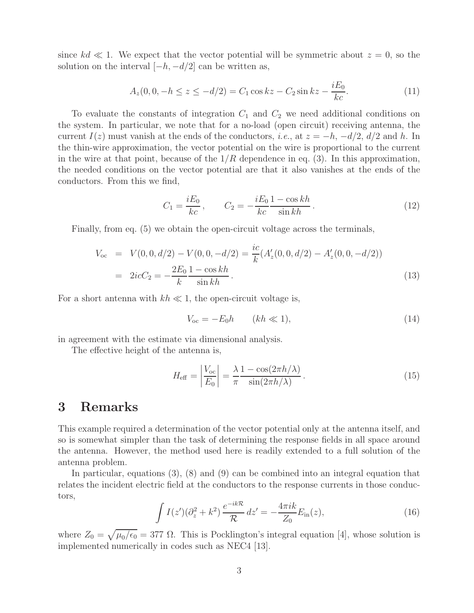since  $kd \ll 1$ . We expect that the vector potential will be symmetric about  $z = 0$ , so the solution on the interval  $[-h, -d/2]$  can be written as,

$$
A_z(0,0,-h \le z \le -d/2) = C_1 \cos kz - C_2 \sin kz - \frac{iE_0}{kc}.
$$
\n(11)

To evaluate the constants of integration  $C_1$  and  $C_2$  we need additional conditions on the system. In particular, we note that for a no-load (open circuit) receiving antenna, the current  $I(z)$  must vanish at the ends of the conductors, *i.e.*, at  $z = -h$ ,  $-d/2$ ,  $d/2$  and h. In the thin-wire approximation, the vector potential on the wire is proportional to the current in the wire at that point, because of the  $1/R$  dependence in eq. (3). In this approximation, the needed conditions on the vector potential are that it also vanishes at the ends of the conductors. From this we find,

$$
C_1 = \frac{iE_0}{kc}, \qquad C_2 = -\frac{iE_0}{kc} \frac{1 - \cos kh}{\sin kh}.
$$
 (12)

Finally, from eq. (5) we obtain the open-circuit voltage across the terminals,

$$
V_{oc} = V(0, 0, d/2) - V(0, 0, -d/2) = \frac{ic}{k} (A'_z(0, 0, d/2) - A'_z(0, 0, -d/2))
$$
  
= 
$$
2icC_2 = -\frac{2E_0}{k} \frac{1 - \cos kh}{\sin kh}.
$$
 (13)

For a short antenna with  $kh \ll 1$ , the open-circuit voltage is,

$$
V_{\text{oc}} = -E_0 h \qquad (kh \ll 1), \tag{14}
$$

in agreement with the estimate via dimensional analysis.

The effective height of the antenna is,

$$
H_{\text{eff}} = \left| \frac{V_{\text{oc}}}{E_0} \right| = \frac{\lambda}{\pi} \frac{1 - \cos(2\pi h/\lambda)}{\sin(2\pi h/\lambda)}.
$$
 (15)

## **3 Remarks**

This example required a determination of the vector potential only at the antenna itself, and so is somewhat simpler than the task of determining the response fields in all space around the antenna. However, the method used here is readily extended to a full solution of the antenna problem.

In particular, equations (3), (8) and (9) can be combined into an integral equation that relates the incident electric field at the conductors to the response currents in those conductors,

$$
\int I(z') (\partial_z^2 + k^2) \frac{e^{-ik\mathcal{R}}}{\mathcal{R}} dz' = -\frac{4\pi i k}{Z_0} E_{\text{in}}(z), \tag{16}
$$

where  $Z_0 = \sqrt{\mu_0/\epsilon_0} = 377 \Omega$ . This is Pocklington's integral equation [4], whose solution is implemented numerically in codes such as NEC4 [13].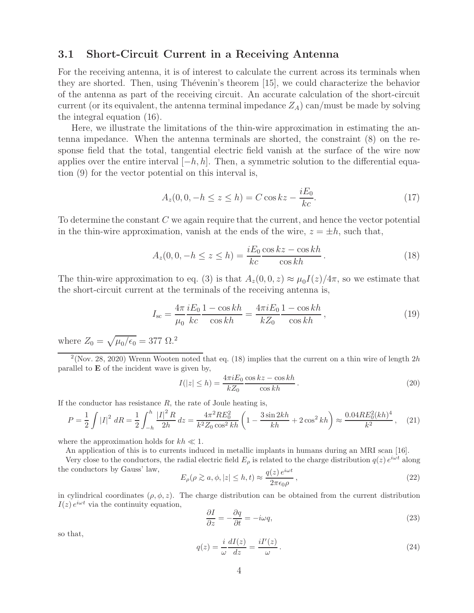#### **3.1 Short-Circuit Current in a Receiving Antenna**

For the receiving antenna, it is of interest to calculate the current across its terminals when they are shorted. Then, using Thévenin's theorem [15], we could characterize the behavior of the antenna as part of the receiving circuit. An accurate calculation of the short-circuit current (or its equivalent, the antenna terminal impedance  $Z_A$ ) can/must be made by solving the integral equation (16).

Here, we illustrate the limitations of the thin-wire approximation in estimating the antenna impedance. When the antenna terminals are shorted, the constraint (8) on the response field that the total, tangential electric field vanish at the surface of the wire now applies over the entire interval  $[-h, h]$ . Then, a symmetric solution to the differential equation (9) for the vector potential on this interval is,

$$
A_z(0,0,-h \le z \le h) = C \cos kz - \frac{iE_0}{kc}.
$$
\n(17)

To determine the constant C we again require that the current, and hence the vector potential in the thin-wire approximation, vanish at the ends of the wire,  $z = \pm h$ , such that,

$$
A_z(0,0,-h \le z \le h) = \frac{iE_0 \cos kz - \cos kh}{kc}.
$$
 (18)

The thin-wire approximation to eq. (3) is that  $A_z(0,0,z) \approx \mu_0 I(z)/4\pi$ , so we estimate that the short-circuit current at the terminals of the receiving antenna is,

$$
I_{\rm sc} = \frac{4\pi}{\mu_0} \frac{iE_0}{kc} \frac{1 - \cos kh}{\cos kh} = \frac{4\pi i E_0}{kZ_0} \frac{1 - \cos kh}{\cos kh},
$$
(19)

where  $Z_0 = \sqrt{\mu_0/\epsilon_0} = 377 \Omega$ .<sup>2</sup>

<sup>2</sup>(Nov. 28, 2020) Wrenn Wooten noted that eq. (18) implies that the current on a thin wire of length 2h parallel to **E** of the incident wave is given by,

$$
I(|z| \le h) = \frac{4\pi i E_0}{kZ_0} \frac{\cos kz - \cos kh}{\cos kh}.
$$
\n
$$
(20)
$$

If the conductor has resistance  $R$ , the rate of Joule heating is,

$$
P = \frac{1}{2} \int |I|^2 \, dR = \frac{1}{2} \int_{-h}^h \frac{|I|^2 \, R}{2h} \, dz = \frac{4\pi^2 R E_0^2}{k^2 Z_0 \cos^2 k h} \left( 1 - \frac{3 \sin 2kh}{kh} + 2 \cos^2 kh \right) \approx \frac{0.04 R E_0^2 (kh)^4}{k^2}, \tag{21}
$$

where the approximation holds for  $kh \ll 1$ .

An application of this is to currents induced in metallic implants in humans during an MRI scan [16].

Very close to the conductors, the radial electric field  $E_\rho$  is related to the charge distribution  $q(z) e^{i\omega t}$  along the conductors by Gauss' law,

$$
E_{\rho}(\rho \gtrsim a, \phi, |z| \le h, t) \approx \frac{q(z) e^{i\omega t}}{2\pi\epsilon_0 \rho}, \qquad (22)
$$

in cylindrical coordinates  $(\rho, \phi, z)$ . The charge distribution can be obtained from the current distribution  $I(z) e^{i\omega t}$  via the continuity equation,

$$
\frac{\partial I}{\partial z} = -\frac{\partial q}{\partial t} = -i\omega q,\tag{23}
$$

so that,

$$
q(z) = \frac{i}{\omega} \frac{dI(z)}{dz} = \frac{iI'(z)}{\omega}.
$$
\n(24)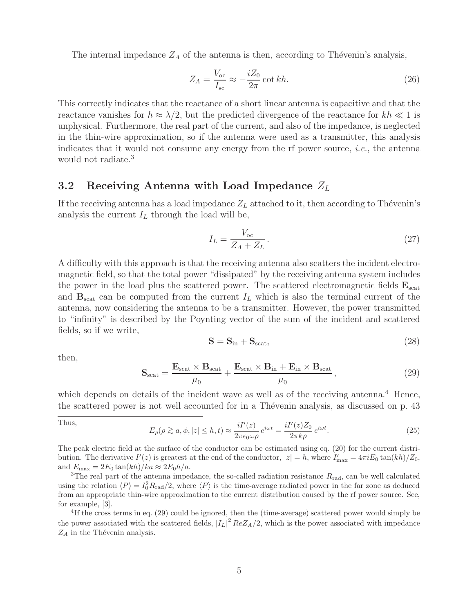The internal impedance  $Z_A$  of the antenna is then, according to Thévenin's analysis,

$$
Z_A = \frac{V_{\text{oc}}}{I_{\text{sc}}} \approx -\frac{iZ_0}{2\pi} \cot kh. \tag{26}
$$

This correctly indicates that the reactance of a short linear antenna is capacitive and that the reactance vanishes for  $h \approx \lambda/2$ , but the predicted divergence of the reactance for  $kh \ll 1$  is unphysical. Furthermore, the real part of the current, and also of the impedance, is neglected in the thin-wire approximation, so if the antenna were used as a transmitter, this analysis indicates that it would not consume any energy from the rf power source, *i.e.*, the antenna would not radiate.<sup>3</sup>

#### **3.2 Receiving Antenna with Load Impedance**  $Z_L$

If the receiving antenna has a load impedance  $Z_L$  attached to it, then according to Thévenin's analysis the current  $I_L$  through the load will be,

$$
I_L = \frac{V_{\text{oc}}}{Z_A + Z_L} \,. \tag{27}
$$

A difficulty with this approach is that the receiving antenna also scatters the incident electromagnetic field, so that the total power "dissipated" by the receiving antenna system includes the power in the load plus the scattered power. The scattered electromagnetic fields  $\mathbf{E}_{scat}$ and  $\mathbf{B}_{\text{scat}}$  can be computed from the current  $I_L$  which is also the terminal current of the antenna, now considering the antenna to be a transmitter. However, the power transmitted to "infinity" is described by the Poynting vector of the sum of the incident and scattered fields, so if we write,

$$
S = S_{\rm in} + S_{\rm scat},\tag{28}
$$

then,

$$
\mathbf{S}_{\text{scat}} = \frac{\mathbf{E}_{\text{scat}} \times \mathbf{B}_{\text{scat}}}{\mu_0} + \frac{\mathbf{E}_{\text{scat}} \times \mathbf{B}_{\text{in}} + \mathbf{E}_{\text{in}} \times \mathbf{B}_{\text{scat}}}{\mu_0},
$$
(29)

which depends on details of the incident wave as well as of the receiving antenna.<sup>4</sup> Hence, the scattered power is not well accounted for in a Thévenin analysis, as discussed on p. 43

Thus,

$$
E_{\rho}(\rho \gtrsim a, \phi, |z| \le h, t) \approx \frac{iI'(z)}{2\pi\epsilon_0\omega\rho} e^{i\omega t} = \frac{iI'(z)Z_0}{2\pi k\rho} e^{i\omega t}.
$$
\n(25)

The peak electric field at the surface of the conductor can be estimated using eq. (20) for the current distribution. The derivative  $I'(z)$  is greatest at the end of the conductor,  $|z| = h$ , where  $I'_{\text{max}} = 4\pi i E_0 \tan(kh)/Z_0$ , and  $E_{\text{max}} = 2E_0 \tan(kh)/ka \approx 2E_0 h/a$ .<br><sup>3</sup>The real part of the antenna impedance, the so-called radiation resistance  $R_{\text{rad}}$ , can be well calculated

using the relation  $\langle P \rangle = I_0^2 R_{\text{rad}}/2$ , where  $\langle P \rangle$  is the time-average radiated power in the far zone as deduced from an appropriate thin-wire approximation to the current distribution caused by the rf power source. See, for example, [3].

<sup>4</sup>If the cross terms in eq. (29) could be ignored, then the (time-average) scattered power would simply be the power associated with the scattered fields,  $|I_L|^2$   $ReZ_A/2$ , which is the power associated with impedance  $Z_A$  in the Thévenin analysis.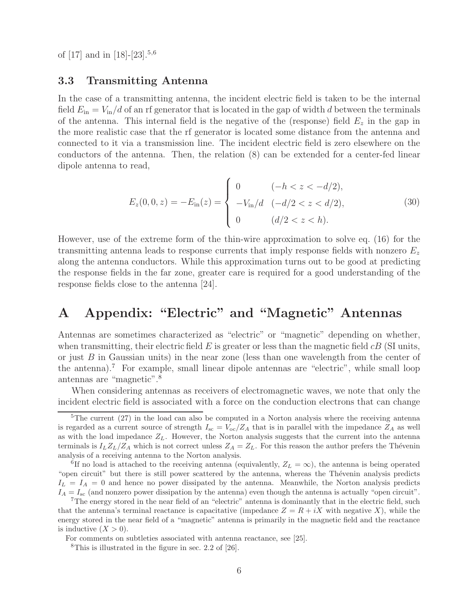of  $[17]$  and in  $[18]-[23].^{5,6}$ 

#### **3.3 Transmitting Antenna**

In the case of a transmitting antenna, the incident electric field is taken to be the internal field  $E_{\rm in} = V_{\rm in}/d$  of an rf generator that is located in the gap of width d between the terminals of the antenna. This internal field is the negative of the (response) field  $E<sub>z</sub>$  in the gap in the more realistic case that the rf generator is located some distance from the antenna and connected to it via a transmission line. The incident electric field is zero elsewhere on the conductors of the antenna. Then, the relation (8) can be extended for a center-fed linear dipole antenna to read,

$$
E_z(0,0,z) = -E_{\rm in}(z) = \begin{cases} 0 & (-h < z < -d/2), \\ -V_{\rm in}/d & (-d/2 < z < d/2), \\ 0 & (d/2 < z < h). \end{cases} \tag{30}
$$

However, use of the extreme form of the thin-wire approximation to solve eq. (16) for the transmitting antenna leads to response currents that imply response fields with nonzero  $E<sub>z</sub>$ along the antenna conductors. While this approximation turns out to be good at predicting the response fields in the far zone, greater care is required for a good understanding of the response fields close to the antenna [24].

# **A Appendix: "Electric" and "Magnetic" Antennas**

Antennas are sometimes characterized as "electric" or "magnetic" depending on whether, when transmitting, their electric field  $E$  is greater or less than the magnetic field  $cB$  (SI units, or just B in Gaussian units) in the near zone (less than one wavelength from the center of the antenna).<sup>7</sup> For example, small linear dipole antennas are "electric", while small loop antennas are "magnetic".<sup>8</sup>

When considering antennas as receivers of electromagnetic waves, we note that only the incident electric field is associated with a force on the conduction electrons that can change

<sup>&</sup>lt;sup>5</sup>The current (27) in the load can also be computed in a Norton analysis where the receiving antenna is regarded as a current source of strength  $I_{\rm sc} = V_{\rm oc}/Z_A$  that is in parallel with the impedance  $Z_A$  as well as with the load impedance  $Z_L$ . However, the Norton analysis suggests that the current into the antenna terminals is  $I_LZ_L/Z_A$  which is not correct unless  $Z_A = Z_L$ . For this reason the author prefers the Thévenin analysis of a receiving antenna to the Norton analysis.

<sup>&</sup>lt;sup>6</sup>If no load is attached to the receiving antenna (equivalently,  $Z_L = \infty$ ), the antenna is being operated "open circuit" but there is still power scattered by the antenna, whereas the Thévenin analysis predicts  $I_L = I_A = 0$  and hence no power dissipated by the antenna. Meanwhile, the Norton analysis predicts  $I_A = I_{\rm sc}$  (and nonzero power dissipation by the antenna) even though the antenna is actually "open circuit".

<sup>7</sup>The energy stored in the near field of an "electric" antenna is dominantly that in the electric field, such that the antenna's terminal reactance is capacitative (impedance  $Z = R + iX$  with negative X), while the energy stored in the near field of a "magnetic" antenna is primarily in the magnetic field and the reactance is inductive  $(X > 0)$ .

For comments on subtleties associated with antenna reactance, see [25].

<sup>8</sup>This is illustrated in the figure in sec. 2.2 of [26].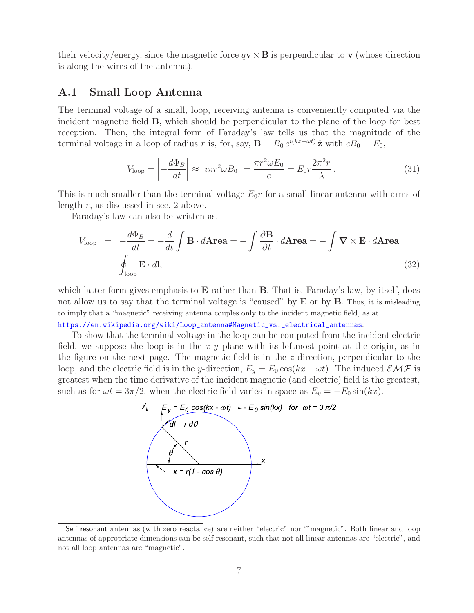their velocity/energy, since the magnetic force  $q\mathbf{v} \times \mathbf{B}$  is perpendicular to **v** (whose direction is along the wires of the antenna).

#### **A.1 Small Loop Antenna**

The terminal voltage of a small, loop, receiving antenna is conveniently computed via the incident magnetic field **B**, which should be perpendicular to the plane of the loop for best reception. Then, the integral form of Faraday's law tells us that the magnitude of the terminal voltage in a loop of radius r is, for, say, **B** =  $B_0 e^{i(kx-\omega t)}\hat{\mathbf{z}}$  with  $cB_0 = E_0$ ,

$$
V_{\text{loop}} = \left| -\frac{d\Phi_B}{dt} \right| \approx \left| i\pi r^2 \omega B_0 \right| = \frac{\pi r^2 \omega E_0}{c} = E_0 r \frac{2\pi^2 r}{\lambda} \,. \tag{31}
$$

This is much smaller than the terminal voltage  $E_0r$  for a small linear antenna with arms of length  $r$ , as discussed in sec. 2 above.

Faraday's law can also be written as,

$$
V_{\text{loop}} = -\frac{d\Phi_B}{dt} = -\frac{d}{dt} \int \mathbf{B} \cdot d\mathbf{Area} = -\int \frac{\partial \mathbf{B}}{\partial t} \cdot d\mathbf{Area} = -\int \mathbf{\nabla} \times \mathbf{E} \cdot d\mathbf{Area}
$$
  
= 
$$
\oint_{\text{loop}} \mathbf{E} \cdot d\mathbf{l},
$$
 (32)

which latter form gives emphasis to **E** rather than **B**. That is, Faraday's law, by itself, does not allow us to say that the terminal voltage is "caused" by **E** or by **B**. Thus, it is misleading to imply that a "magnetic" receiving antenna couples only to the incident magnetic field, as at https://en.wikipedia.org/wiki/Loop\_antenna#Magnetic\_vs.\_electrical\_antennas.

To show that the terminal voltage in the loop can be computed from the incident electric field, we suppose the loop is in the  $x-y$  plane with its leftmost point at the origin, as in the figure on the next page. The magnetic field is in the z-direction, perpendicular to the loop, and the electric field is in the y-direction,  $E_y = E_0 \cos(kx - \omega t)$ . The induced  $\mathcal{EMF}$  is greatest when the time derivative of the incident magnetic (and electric) field is the greatest,



Self resonant antennas (with zero reactance) are neither "electric" nor '"magnetic". Both linear and loop antennas of appropriate dimensions can be self resonant, such that not all linear antennas are "electric", and not all loop antennas are "magnetic".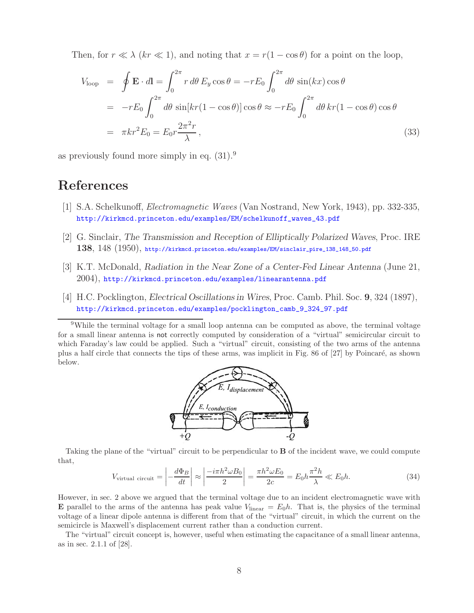Then, for  $r \ll \lambda$  (kr  $\ll 1$ ), and noting that  $x = r(1 - \cos \theta)$  for a point on the loop,

$$
V_{\text{loop}} = \oint \mathbf{E} \cdot d\mathbf{l} = \int_0^{2\pi} r \, d\theta \, E_y \cos \theta = -rE_0 \int_0^{2\pi} d\theta \, \sin(kx) \cos \theta
$$
  
=  $-rE_0 \int_0^{2\pi} d\theta \, \sin[kr(1 - \cos \theta)] \cos \theta \approx -rE_0 \int_0^{2\pi} d\theta \, kr(1 - \cos \theta) \cos \theta$   
=  $\pi kr^2 E_0 = E_0 r \frac{2\pi^2 r}{\lambda}$ , (33)

as previously found more simply in eq. (31).<sup>9</sup>

## **References**

- [1] S.A. Schelkunoff, *Electromagnetic Waves* (Van Nostrand, New York, 1943), pp. 332-335, http://kirkmcd.princeton.edu/examples/EM/schelkunoff\_waves\_43.pdf
- [2] G. Sinclair, *The Transmission and Reception of Elliptically Polarized Waves*, Proc. IRE **138**, 148 (1950), http://kirkmcd.princeton.edu/examples/EM/sinclair\_pire\_138\_148\_50.pdf
- [3] K.T. McDonald, *Radiation in the Near Zone of a Center-Fed Linear Antenna* (June 21, 2004), http://kirkmcd.princeton.edu/examples/linearantenna.pdf
- [4] H.C. Pocklington, *Electrical Oscillations in Wires*, Proc. Camb. Phil. Soc. **9**, 324 (1897), http://kirkmcd.princeton.edu/examples/pocklington\_camb\_9\_324\_97.pdf

<sup>&</sup>lt;sup>9</sup>While the terminal voltage for a small loop antenna can be computed as above, the terminal voltage for a small linear antenna is not correctly computed by consideration of a "virtual" semicircular circuit to which Faraday's law could be applied. Such a "virtual" circuit, consisting of the two arms of the antenna plus a half circle that connects the tips of these arms, was implicit in Fig. 86 of [27] by Poincar´e, as shown below.



Taking the plane of the "virtual" circuit to be perpendicular to **B** of the incident wave, we could compute that,

$$
V_{\text{virtual circuit}} = \left| -\frac{d\Phi_B}{dt} \right| \approx \left| \frac{-i\pi h^2 \omega B_0}{2} \right| = \frac{\pi h^2 \omega E_0}{2c} = E_0 h \frac{\pi^2 h}{\lambda} \ll E_0 h. \tag{34}
$$

However, in sec. 2 above we argued that the terminal voltage due to an incident electromagnetic wave with **E** parallel to the arms of the antenna has peak value  $V_{linear} = E_0 h$ . That is, the physics of the terminal voltage of a linear dipole antenna is different from that of the "virtual" circuit, in which the current on the semicircle is Maxwell's displacement current rather than a conduction current.

The "virtual" circuit concept is, however, useful when estimating the capacitance of a small linear antenna, as in sec. 2.1.1 of [28].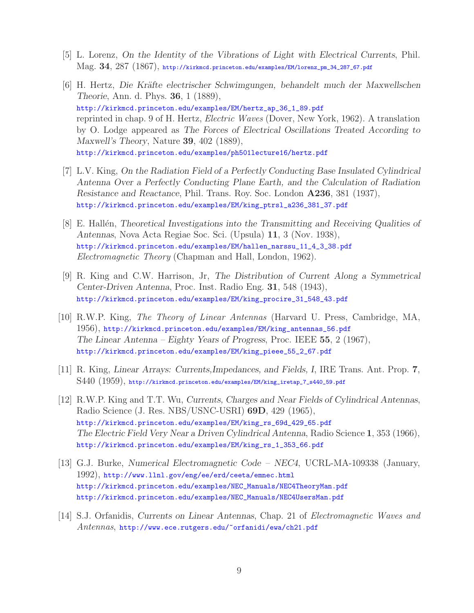- [5] L. Lorenz, *On the Identity of the Vibrations of Light with Electrical Currents*, Phil. Mag. **34**, 287 (1867), http://kirkmcd.princeton.edu/examples/EM/lorenz\_pm\_34\_287\_67.pdf
- [6] H. Hertz, *Die Kr¨afte electrischer Schwimgungen, behandelt much der Maxwellschen Theorie*, Ann. d. Phys. **36**, 1 (1889), http://kirkmcd.princeton.edu/examples/EM/hertz\_ap\_36\_1\_89.pdf reprinted in chap. 9 of H. Hertz, *Electric Waves* (Dover, New York, 1962). A translation by O. Lodge appeared as *The Forces of Electrical Oscillations Treated According to Maxwell's Theory*, Nature **39**, 402 (1889), http://kirkmcd.princeton.edu/examples/ph501lecture16/hertz.pdf
- [7] L.V. King, *On the Radiation Field of a Perfectly Conducting Base Insulated Cylindrical Antenna Over a Perfectly Conducting Plane Earth, and the Calculation of Radiation Resistance and Reactance*, Phil. Trans. Roy. Soc. London **A236**, 381 (1937), http://kirkmcd.princeton.edu/examples/EM/king\_ptrsl\_a236\_381\_37.pdf
- [8] E. Hall´en, *Theoretical Investigations into the Transmitting and Receiving Qualities of Antennas*, Nova Acta Regiae Soc. Sci. (Upsula) **11**, 3 (Nov. 1938), http://kirkmcd.princeton.edu/examples/EM/hallen\_narssu\_11\_4\_3\_38.pdf *Electromagnetic Theory* (Chapman and Hall, London, 1962).
- [9] R. King and C.W. Harrison, Jr, *The Distribution of Current Along a Symmetrical Center-Driven Antenna*, Proc. Inst. Radio Eng. **31**, 548 (1943), http://kirkmcd.princeton.edu/examples/EM/king\_procire\_31\_548\_43.pdf
- [10] R.W.P. King, *The Theory of Linear Antennas* (Harvard U. Press, Cambridge, MA, 1956), http://kirkmcd.princeton.edu/examples/EM/king\_antennas\_56.pdf *The Linear Antenna – Eighty Years of Progress*, Proc. IEEE **55**, 2 (1967), http://kirkmcd.princeton.edu/examples/EM/king\_pieee\_55\_2\_67.pdf
- [11] R. King, *Linear Arrays: Currents,Impedances, and Fields, I*, IRE Trans. Ant. Prop. **7**, S440 (1959), http://kirkmcd.princeton.edu/examples/EM/king\_iretap\_7\_s440\_59.pdf
- [12] R.W.P. King and T.T. Wu, *Currents, Charges and Near Fields of Cylindrical Antennas*, Radio Science (J. Res. NBS/USNC-USRI) **69D**, 429 (1965), http://kirkmcd.princeton.edu/examples/EM/king\_rs\_69d\_429\_65.pdf *The Electric Field Very Near a Driven Cylindrical Antenna*, Radio Science **1**, 353 (1966), http://kirkmcd.princeton.edu/examples/EM/king\_rs\_1\_353\_66.pdf
- [13] G.J. Burke, *Numerical Electromagnetic Code NEC4*, UCRL-MA-109338 (January, 1992), http://www.llnl.gov/eng/ee/erd/ceeta/emnec.html http://kirkmcd.princeton.edu/examples/NEC\_Manuals/NEC4TheoryMan.pdf http://kirkmcd.princeton.edu/examples/NEC\_Manuals/NEC4UsersMan.pdf
- [14] S.J. Orfanidis, *Currents on Linear Antennas*, Chap. 21 of *Electromagnetic Waves and Antennas*, http://www.ece.rutgers.edu/~orfanidi/ewa/ch21.pdf